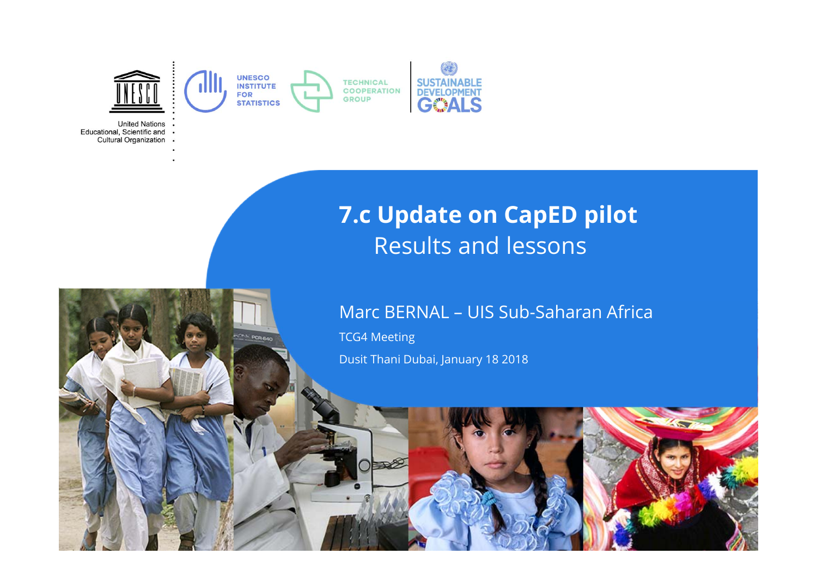

**United Nations** Educational, Scientific and . Cultural Organization .

## **7.c Update on CapED pilot**  Results and lessons

#### Marc BERNAL – UIS Sub-Saharan Africa

TCG4 Meeting Dusit Thani Dubai, January 18 2018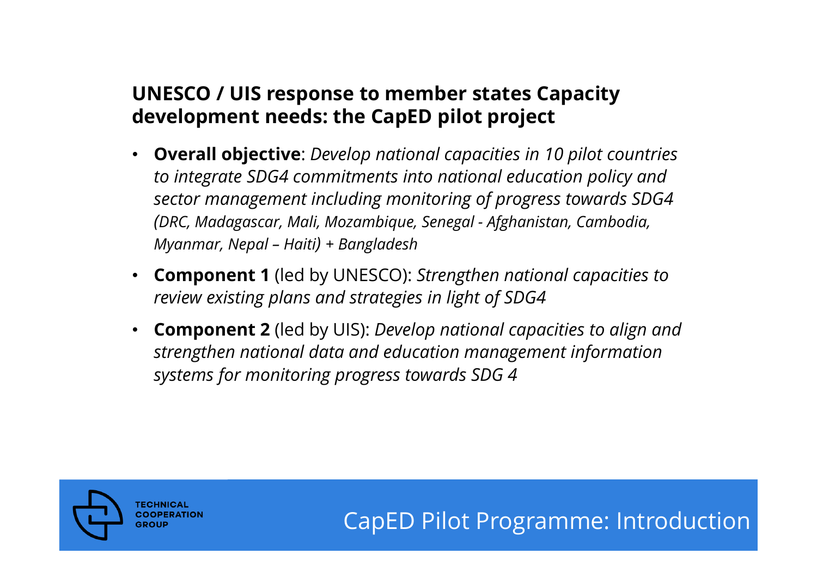### **UNESCO / UIS response to member states Capacity development needs: the CapED pilot project**

- • **Overall objective**: *Develop national capacities in 10 pilot countries to integrate SDG4 commitments into national education policy and sector management including monitoring of progress towards SDG4 (DRC, Madagascar, Mali, Mozambique, Senegal - Afghanistan, Cambodia, Myanmar, Nepal – Haiti) + Bangladesh*
- • **Component 1** (led by UNESCO): *Strengthen national capacities to review existing plans and strategies in light of SDG4*
- • **Component 2** (led by UIS): *Develop national capacities to align and strengthen national data and education management information systems for monitoring progress towards SDG 4*



CapED Pilot Programme: Introduction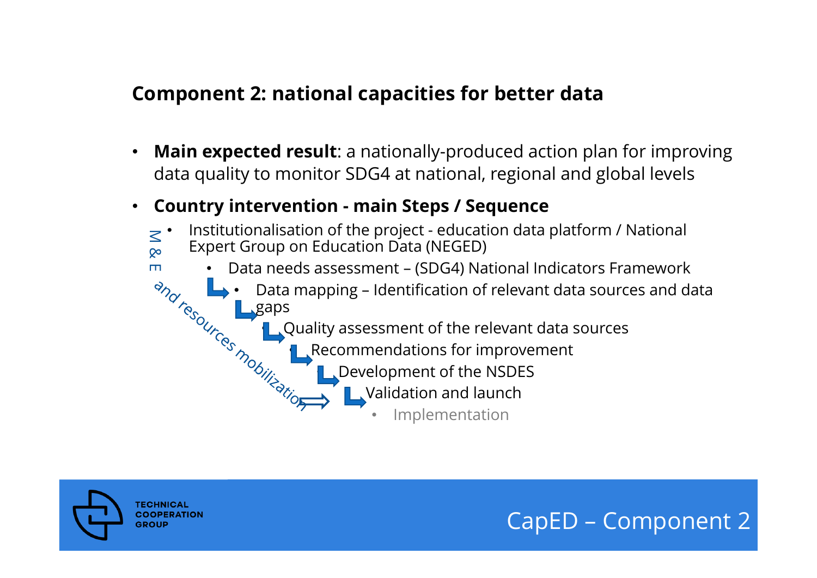#### **Component 2: national capacities for better data**

- • **Main expected result**: a nationally-produced action plan for improving data quality to monitor SDG4 at national, regional and global levels
- •**Country intervention - main Steps / Sequence**

•

•

•

- •M & E Institutionalisation of the project - education data platform / National Expert Group on Education Data (NEGED)
	- • Data needs assessment – (SDG4) National Indicators Framework
		- • Data mapping – Identification of relevant data sources and data gaps
			- **Quality assessment of the relevant data sources** 
				- Recommendations for improvement
					- Development of the NSDES
						- **N** Validation and launch
							- •Implementation



CapED – Component 2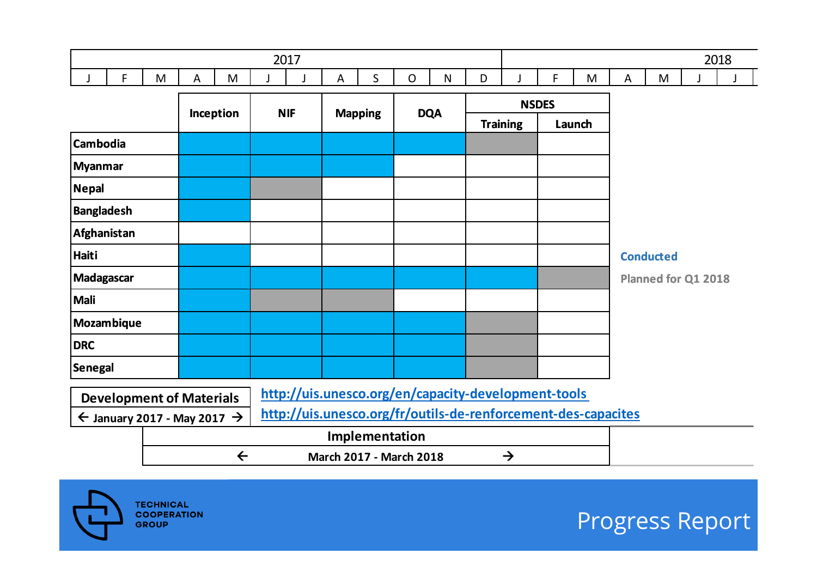|  |          |                               | <u>___</u> | 2017 |   |   |  |   |   |              |   | 2018 |  |
|--|----------|-------------------------------|------------|------|---|---|--|---|---|--------------|---|------|--|
|  | . .<br>M | $\overline{\phantom{a}}$<br>M |            |      | - | N |  | - | M | $\mathbf{A}$ | M |      |  |

|                          |           | <b>NIF</b> | <b>Mapping</b>                                      | <b>DQA</b> |                 | <b>NSDES</b> |                     |
|--------------------------|-----------|------------|-----------------------------------------------------|------------|-----------------|--------------|---------------------|
|                          | Inception |            |                                                     |            | <b>Training</b> | Launch       |                     |
| <b>Cambodia</b>          |           |            |                                                     |            |                 |              |                     |
| Myanmar                  |           |            |                                                     |            |                 |              |                     |
| Nepal                    |           |            |                                                     |            |                 |              |                     |
| Bangladesh               |           |            |                                                     |            |                 |              |                     |
| Afghanistan              |           |            |                                                     |            |                 |              |                     |
| Haiti                    |           |            |                                                     |            |                 |              | <b>Conducted</b>    |
| Madagascar               |           |            |                                                     |            |                 |              | Planned for Q1 2018 |
| Mali                     |           |            |                                                     |            |                 |              |                     |
| <b>Mozambique</b>        |           |            |                                                     |            |                 |              |                     |
| <b>DRC</b>               |           |            |                                                     |            |                 |              |                     |
| Senegal                  |           |            |                                                     |            |                 |              |                     |
| Douglopment of Materials |           |            | http://uis.unesco.org/en/capacity-development-tools |            |                 |              |                     |

| <b>Development of Materials</b>                                               | http://uis.unesco.org/en/capacity-development-tools           |  |  |  |  |  |  |
|-------------------------------------------------------------------------------|---------------------------------------------------------------|--|--|--|--|--|--|
| $\leftarrow$ January 2017 - May 2017 $\rightarrow$ $\left\vert \right\rangle$ | http://uis.unesco.org/fr/outils-de-renforcement-des-capacites |  |  |  |  |  |  |
|                                                                               | Implementation                                                |  |  |  |  |  |  |



Progress Report

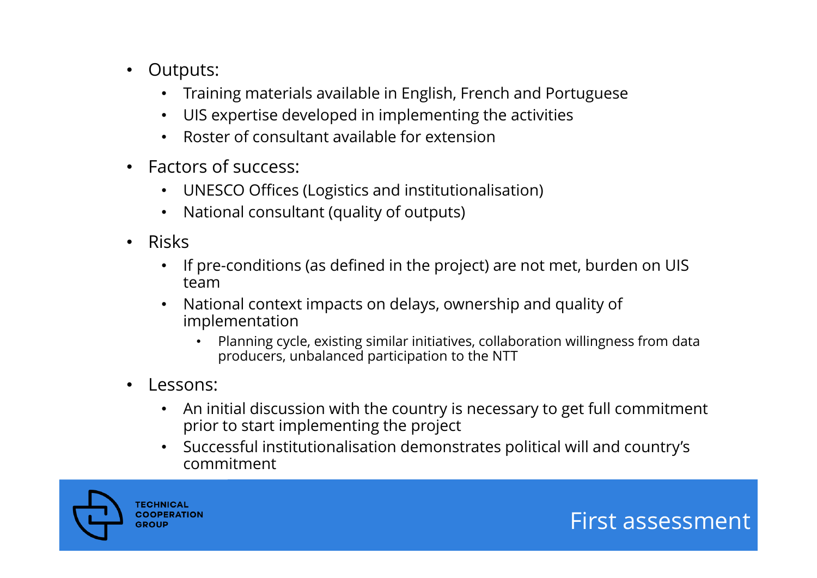- $\bullet$  Outputs:
	- Training materials available in English, French and Portuguese
	- UIS expertise developed in implementing the activities
	- Roster of consultant available for extension
- $\bullet$  Factors of success:
	- UNESCO Offices (Logistics and institutionalisation)
	- National consultant (quality of outputs)
- $\bullet$  Risks
	- If pre-conditions (as defined in the project) are not met, burden on UIS team
	- $\bullet$  National context impacts on delays, ownership and quality of implementation
		- • Planning cycle, existing similar initiatives, collaboration willingness from data producers, unbalanced participation to the NTT
- • Lessons:
	- An initial discussion with the country is necessary to get full commitment prior to start implementing the project
	- Successful institutionalisation demonstrates political will and country's commitment

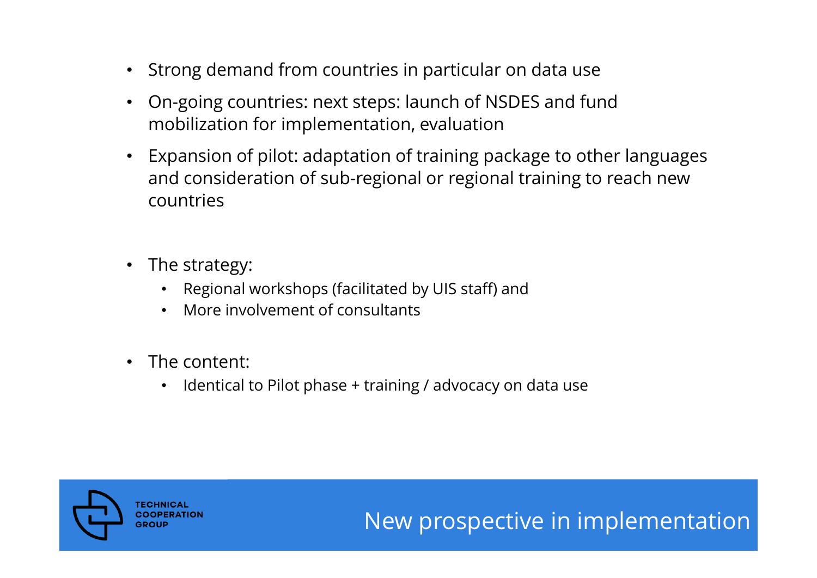- $\bullet$ Strong demand from countries in particular on data use
- • On-going countries: next steps: launch of NSDES and fund mobilization for implementation, evaluation
- $\bullet$  Expansion of pilot: adaptation of training package to other languages and consideration of sub-regional or regional training to reach new countries
- $\bullet$  The strategy:
	- •Regional workshops (facilitated by UIS staff) and
	- •More involvement of consultants
- $\bullet$  The content:
	- •Identical to Pilot phase + training / advocacy on data use



# New prospective in implementation